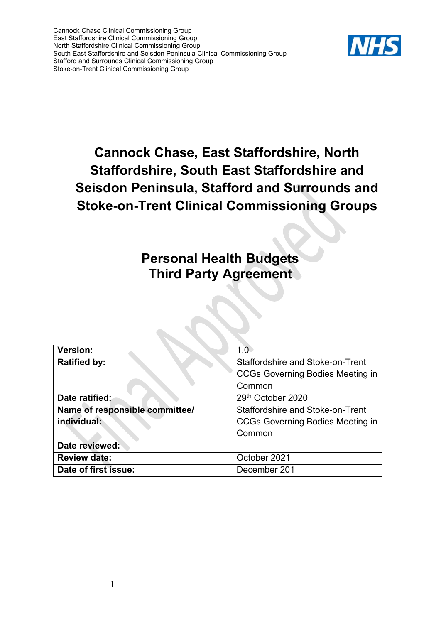

# **Cannock Chase, East Staffordshire, North Staffordshire, South East Staffordshire and Seisdon Peninsula, Stafford and Surrounds and Stoke-on-Trent Clinical Commissioning Groups**

## **Personal Health Budgets Third Party Agreement**

| <b>Version:</b>                | 1 በ                                     |
|--------------------------------|-----------------------------------------|
| <b>Ratified by:</b>            | Staffordshire and Stoke-on-Trent        |
|                                | <b>CCGs Governing Bodies Meeting in</b> |
|                                | Common                                  |
| Date ratified:                 | 29th October 2020                       |
| Name of responsible committee/ | Staffordshire and Stoke-on-Trent        |
| individual:                    | <b>CCGs Governing Bodies Meeting in</b> |
|                                | Common                                  |
| Date reviewed:                 |                                         |
| <b>Review date:</b>            | October 2021                            |
| Date of first issue:           | December 201                            |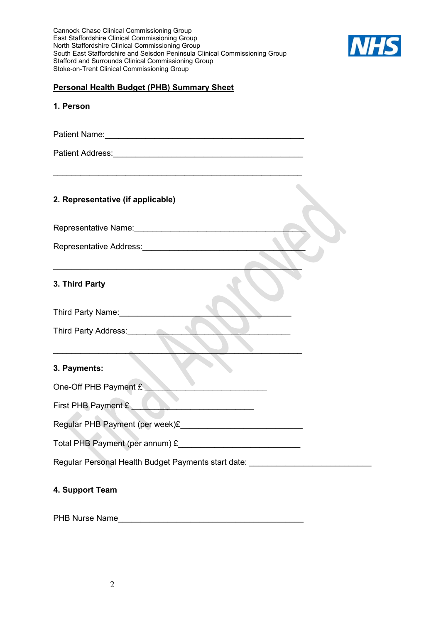

#### **Personal Health Budget (PHB) Summary Sheet**

#### **1. Person**

Patient Name:\_\_\_\_\_\_\_\_\_\_\_\_\_\_\_\_\_\_\_\_\_\_\_\_\_\_\_\_\_\_\_\_\_\_\_\_\_\_\_\_\_\_\_\_

\_\_\_\_\_\_\_\_\_\_\_\_\_\_\_\_\_\_\_\_\_\_\_\_\_\_\_\_\_\_\_\_\_\_\_\_\_\_\_\_\_\_\_\_\_\_\_\_\_\_\_\_\_\_\_

 $\overline{\phantom{a}}$  ,  $\overline{\phantom{a}}$  ,  $\overline{\phantom{a}}$  ,  $\overline{\phantom{a}}$  ,  $\overline{\phantom{a}}$  ,  $\overline{\phantom{a}}$  ,  $\overline{\phantom{a}}$  ,  $\overline{\phantom{a}}$  ,  $\overline{\phantom{a}}$  ,  $\overline{\phantom{a}}$  ,  $\overline{\phantom{a}}$  ,  $\overline{\phantom{a}}$  ,  $\overline{\phantom{a}}$  ,  $\overline{\phantom{a}}$  ,  $\overline{\phantom{a}}$  ,  $\overline{\phantom{a}}$ 

Patient Address:\_\_\_\_\_\_\_\_\_\_\_\_\_\_\_\_\_\_\_\_\_\_\_\_\_\_\_\_\_\_\_\_\_\_\_\_\_\_\_\_\_\_

## **2. Representative (if applicable)**

Representative Name:

Representative Address:

## **3. Third Party**

Third Party Name: Third Party Address:

\_\_\_\_\_\_\_\_\_\_\_\_\_\_\_\_\_\_\_\_\_\_\_\_\_\_\_\_\_\_\_\_\_\_\_\_\_\_\_\_\_\_\_\_\_\_\_\_\_\_\_\_\_\_\_

#### **3. Payments:**

One-Off PHB Payment £

First PHB Payment £

Regular PHB Payment (per week)£

Total PHB Payment (per annum) £\_\_\_\_\_\_\_\_\_\_\_\_\_\_\_\_\_\_\_\_\_\_\_\_\_\_\_

Regular Personal Health Budget Payments start date:

## **4. Support Team**

PHB Nurse Name\_\_\_\_\_\_\_\_\_\_\_\_\_\_\_\_\_\_\_\_\_\_\_\_\_\_\_\_\_\_\_\_\_\_\_\_\_\_\_\_\_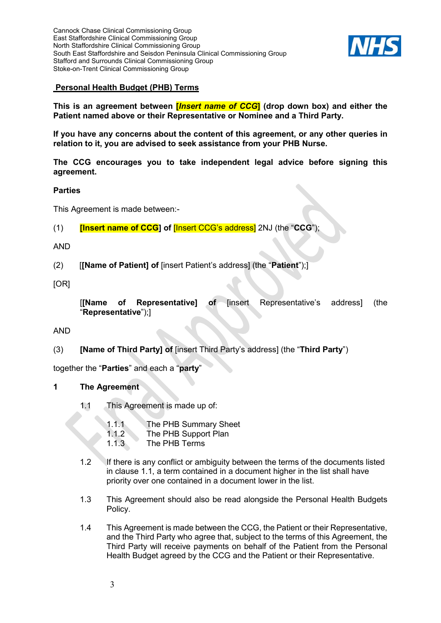

## **Personal Health Budget (PHB) Terms**

**This is an agreement between [***Insert name of CCG***] (drop down box) and either the Patient named above or their Representative or Nominee and a Third Party.**

**If you have any concerns about the content of this agreement, or any other queries in relation to it, you are advised to seek assistance from your PHB Nurse.** 

**The CCG encourages you to take independent legal advice before signing this agreement.**

#### **Parties**

This Agreement is made between:-

(1) **[Insert name of CCG] of** [Insert CCG's address] 2NJ (the "**CCG**");

#### AND

(2) [**[Name of Patient] of** [insert Patient's address] (the "**Patient**");]

[OR]

[**[Name of Representative] of** [insert Representative's address] (the "**Representative**");]

AND

(3) **[Name of Third Party] of** [insert Third Party's address] (the "**Third Party**")

together the "**Parties**" and each a "**party**"

#### **1 The Agreement**

- 1.1 This Agreement is made up of:
	- 1.1.1 The PHB Summary Sheet
	- 1.1.2 The PHB Support Plan
	- 1.1.3 The PHB Terms
- 1.2 If there is any conflict or ambiguity between the terms of the documents listed in clause 1.1, a term contained in a document higher in the list shall have priority over one contained in a document lower in the list.
- 1.3 This Agreement should also be read alongside the Personal Health Budgets Policy.
- 1.4 This Agreement is made between the CCG, the Patient or their Representative, and the Third Party who agree that, subject to the terms of this Agreement, the Third Party will receive payments on behalf of the Patient from the Personal Health Budget agreed by the CCG and the Patient or their Representative.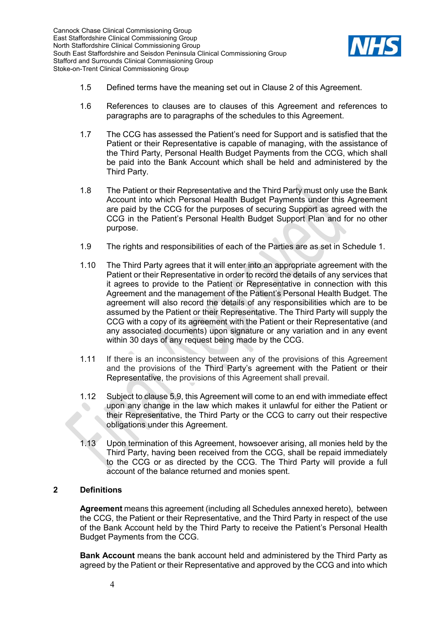

- 1.5 Defined terms have the meaning set out in Clause [2](#page-3-0) of this Agreement.
- 1.6 References to clauses are to clauses of this Agreement and references to paragraphs are to paragraphs of the schedules to this Agreement.
- 1.7 The CCG has assessed the Patient's need for Support and is satisfied that the Patient or their Representative is capable of managing, with the assistance of the Third Party, Personal Health Budget Payments from the CCG, which shall be paid into the Bank Account which shall be held and administered by the Third Party.
- 1.8 The Patient or their Representative and the Third Party must only use the Bank Account into which Personal Health Budget Payments under this Agreement are paid by the CCG for the purposes of securing Support as agreed with the CCG in the Patient's Personal Health Budget Support Plan and for no other purpose.
- 1.9 The rights and responsibilities of each of the Parties are as set in Schedule 1.
- 1.10 The Third Party agrees that it will enter into an appropriate agreement with the Patient or their Representative in order to record the details of any services that it agrees to provide to the Patient or Representative in connection with this Agreement and the management of the Patient's Personal Health Budget. The agreement will also record the details of any responsibilities which are to be assumed by the Patient or their Representative. The Third Party will supply the CCG with a copy of its agreement with the Patient or their Representative (and any associated documents) upon signature or any variation and in any event within 30 days of any request being made by the CCG.
- 1.11 If there is an inconsistency between any of the provisions of this Agreement and the provisions of the Third Party's agreement with the Patient or their Representative, the provisions of this Agreement shall prevail.
- 1.12 Subject to clause [5.9,](#page-8-0) this Agreement will come to an end with immediate effect upon any change in the law which makes it unlawful for either the Patient or their Representative, the Third Party or the CCG to carry out their respective obligations under this Agreement.
- 1.13 Upon termination of this Agreement, howsoever arising, all monies held by the Third Party, having been received from the CCG, shall be repaid immediately to the CCG or as directed by the CCG. The Third Party will provide a full account of the balance returned and monies spent.

#### <span id="page-3-0"></span>**2 Definitions**

**Agreement** means this agreement (including all Schedules annexed hereto), between the CCG, the Patient or their Representative, and the Third Party in respect of the use of the Bank Account held by the Third Party to receive the Patient's Personal Health Budget Payments from the CCG.

**Bank Account** means the bank account held and administered by the Third Party as agreed by the Patient or their Representative and approved by the CCG and into which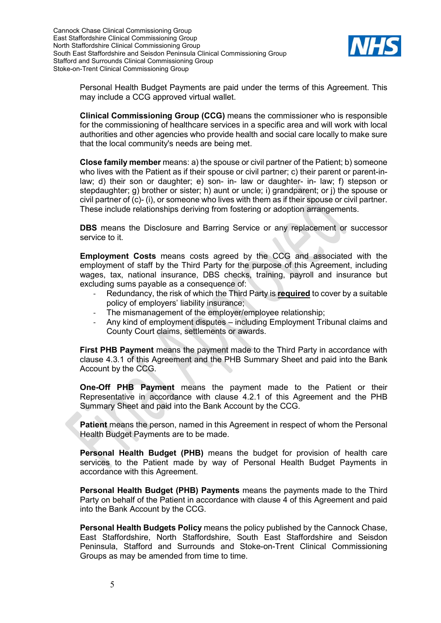

Personal Health Budget Payments are paid under the terms of this Agreement. This may include a CCG approved virtual wallet.

**Clinical Commissioning Group (CCG)** means the commissioner who is responsible for the commissioning of healthcare services in a specific area and will work with local authorities and other agencies who provide health and social care locally to make sure that the local community's needs are being met.

**Close family member** means: a) the spouse or civil partner of the Patient; b) someone who lives with the Patient as if their spouse or civil partner; c) their parent or parent-inlaw; d) their son or daughter; e) son- in- law or daughter- in- law; f) stepson or stepdaughter; g) brother or sister; h) aunt or uncle; i) grandparent; or j) the spouse or civil partner of (c)- (i), or someone who lives with them as if their spouse or civil partner. These include relationships deriving from fostering or adoption arrangements.

**DBS** means the Disclosure and Barring Service or any replacement or successor service to it.

**Employment Costs** means costs agreed by the CCG and associated with the employment of staff by the Third Party for the purpose of this Agreement, including wages, tax, national insurance, DBS checks, training, payroll and insurance but excluding sums payable as a consequence of:

- Redundancy, the risk of which the Third Party is **required** to cover by a suitable policy of employers' liability insurance;
- The mismanagement of the employer/employee relationship;
- Any kind of employment disputes including Employment Tribunal claims and County Court claims, settlements or awards.

**First PHB Payment** means the payment made to the Third Party in accordance with clause [4.3.1](#page-7-0) of this Agreement and the PHB Summary Sheet and paid into the Bank Account by the CCG.

**One-Off PHB Payment** means the payment made to the Patient or their Representative in accordance with clause [4.2.1](#page-7-1) of this Agreement and the PHB Summary Sheet and paid into the Bank Account by the CCG.

**Patient** means the person, named in this Agreement in respect of whom the Personal Health Budget Payments are to be made.

**Personal Health Budget (PHB)** means the budget for provision of health care services to the Patient made by way of Personal Health Budget Payments in accordance with this Agreement.

**Personal Health Budget (PHB) Payments** means the payments made to the Third Party on behalf of the Patient in accordance with clause [4](#page-6-0) of this Agreement and paid into the Bank Account by the CCG.

**Personal Health Budgets Policy** means the policy published by the Cannock Chase, East Staffordshire, North Staffordshire, South East Staffordshire and Seisdon Peninsula, Stafford and Surrounds and Stoke-on-Trent Clinical Commissioning Groups as may be amended from time to time.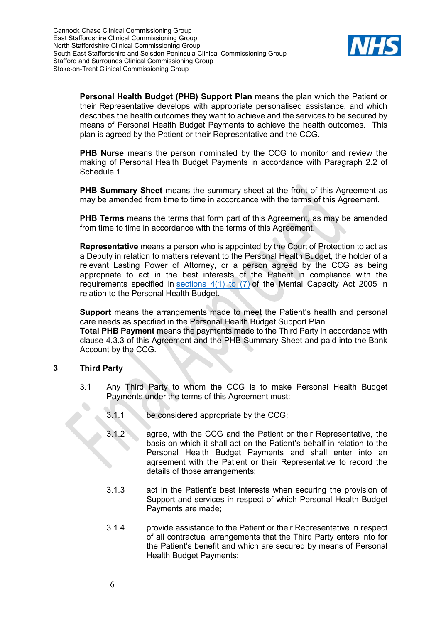

**Personal Health Budget (PHB) Support Plan** means the plan which the Patient or their Representative develops with appropriate personalised assistance, and which describes the health outcomes they want to achieve and the services to be secured by means of Personal Health Budget Payments to achieve the health outcomes. This plan is agreed by the Patient or their Representative and the CCG.

**PHB Nurse** means the person nominated by the CCG to monitor and review the making of Personal Health Budget Payments in accordance with Paragraph 2.2 of Schedule 1.

**PHB Summary Sheet** means the summary sheet at the front of this Agreement as may be amended from time to time in accordance with the terms of this Agreement.

**PHB Terms** means the terms that form part of this Agreement, as may be amended from time to time in accordance with the terms of this Agreement.

**Representative** means a person who is appointed by the Court of Protection to act as a Deputy in relation to matters relevant to the Personal Health Budget, the holder of a relevant Lasting Power of Attorney, or a person agreed by the CCG as being appropriate to act in the best interests of the Patient in compliance with the requirements specified in [sections 4\(1\) to \(7\)](https://uk.westlaw.com/Document/IE808A4B0E45311DA8D70A0E70A78ED65/View/FullText.html?originationContext=document&transitionType=DocumentItem&contextData=(sc.DocLink)) of the Mental Capacity Act 2005 in relation to the Personal Health Budget.

**Support** means the arrangements made to meet the Patient's health and personal care needs as specified in the Personal Health Budget Support Plan.

**Total PHB Payment** means the payments made to the Third Party in accordance with clause [4.3.3](#page-7-2) of this Agreement and the PHB Summary Sheet and paid into the Bank Account by the CCG.

#### **3 Third Party**

 $\bullet$ 

- 3.1 Any Third Party to whom the CCG is to make Personal Health Budget Payments under the terms of this Agreement must:
	- 3.1.1 be considered appropriate by the CCG;
	- 3.1.2 agree, with the CCG and the Patient or their Representative, the basis on which it shall act on the Patient's behalf in relation to the Personal Health Budget Payments and shall enter into an agreement with the Patient or their Representative to record the details of those arrangements;
	- 3.1.3 act in the Patient's best interests when securing the provision of Support and services in respect of which Personal Health Budget Payments are made;
	- 3.1.4 provide assistance to the Patient or their Representative in respect of all contractual arrangements that the Third Party enters into for the Patient's benefit and which are secured by means of Personal Health Budget Payments;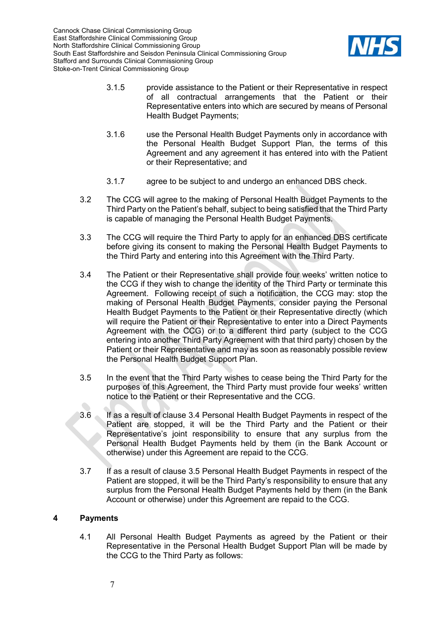

- 3.1.5 provide assistance to the Patient or their Representative in respect of all contractual arrangements that the Patient or their Representative enters into which are secured by means of Personal Health Budget Payments;
- 3.1.6 use the Personal Health Budget Payments only in accordance with the Personal Health Budget Support Plan, the terms of this Agreement and any agreement it has entered into with the Patient or their Representative; and
- 3.1.7 agree to be subject to and undergo an enhanced DBS check.
- 3.2 The CCG will agree to the making of Personal Health Budget Payments to the Third Party on the Patient's behalf, subject to being satisfied that the Third Party is capable of managing the Personal Health Budget Payments.
- 3.3 The CCG will require the Third Party to apply for an enhanced DBS certificate before giving its consent to making the Personal Health Budget Payments to the Third Party and entering into this Agreement with the Third Party.
- <span id="page-6-1"></span>3.4 The Patient or their Representative shall provide four weeks' written notice to the CCG if they wish to change the identity of the Third Party or terminate this Agreement. Following receipt of such a notification, the CCG may: stop the making of Personal Health Budget Payments, consider paying the Personal Health Budget Payments to the Patient or their Representative directly (which will require the Patient or their Representative to enter into a Direct Payments Agreement with the CCG) or to a different third party (subject to the CCG entering into another Third Party Agreement with that third party) chosen by the Patient or their Representative and may as soon as reasonably possible review the Personal Health Budget Support Plan.
- <span id="page-6-2"></span>3.5 In the event that the Third Party wishes to cease being the Third Party for the purposes of this Agreement, the Third Party must provide four weeks' written notice to the Patient or their Representative and the CCG.
- <span id="page-6-3"></span>3.6 If as a result of clause [3.4](#page-6-1) Personal Health Budget Payments in respect of the Patient are stopped, it will be the Third Party and the Patient or their Representative's joint responsibility to ensure that any surplus from the Personal Health Budget Payments held by them (in the Bank Account or otherwise) under this Agreement are repaid to the CCG.
- 3.7 If as a result of clause [3.5](#page-6-2) Personal Health Budget Payments in respect of the Patient are stopped, it will be the Third Party's responsibility to ensure that any surplus from the Personal Health Budget Payments held by them (in the Bank Account or otherwise) under this Agreement are repaid to the CCG.

## <span id="page-6-0"></span>**4 Payments**

4.1 All Personal Health Budget Payments as agreed by the Patient or their Representative in the Personal Health Budget Support Plan will be made by the CCG to the Third Party as follows: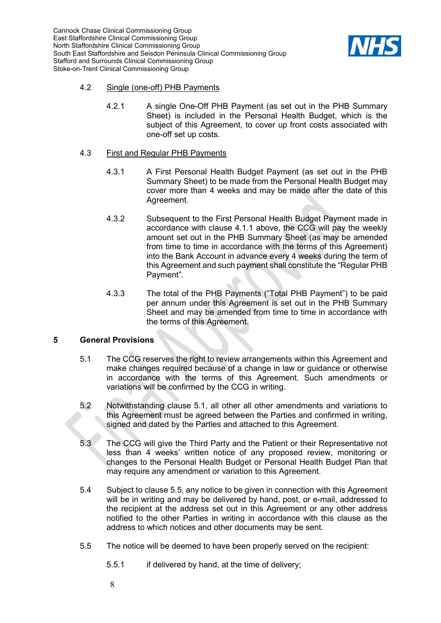

#### <span id="page-7-1"></span>4.2 Single (one-off) PHB Payments

4.2.1 A single One-Off PHB Payment (as set out in the PHB Summary Sheet) is included in the Personal Health Budget, which is the subject of this Agreement, to cover up front costs associated with one-off set up costs.

#### <span id="page-7-0"></span>4.3 First and Regular PHB Payments

- 4.3.1 A First Personal Health Budget Payment (as set out in the PHB Summary Sheet) to be made from the Personal Health Budget may cover more than 4 weeks and may be made after the date of this Agreement.
- 4.3.2 Subsequent to the First Personal Health Budget Payment made in accordance with clause 4.1.1 above, the CCG will pay the weekly amount set out in the PHB Summary Sheet (as may be amended from time to time in accordance with the terms of this Agreement) into the Bank Account in advance every 4 weeks during the term of this Agreement and such payment shall constitute the "Regular PHB Payment".
- 4.3.3 The total of the PHB Payments ("Total PHB Payment") to be paid per annum under this Agreement is set out in the PHB Summary Sheet and may be amended from time to time in accordance with the terms of this Agreement.

#### <span id="page-7-2"></span>**5 General Provisions**

- 5.1 The CCG reserves the right to review arrangements within this Agreement and make changes required because of a change in law or guidance or otherwise in accordance with the terms of this Agreement. Such amendments or variations will be confirmed by the CCG in writing.
- 5.2 Notwithstanding clause 5.1, all other all other amendments and variations to this Agreement must be agreed between the Parties and confirmed in writing, signed and dated by the Parties and attached to this Agreement.
- <span id="page-7-3"></span>5.3 The CCG will give the Third Party and the Patient or their Representative not less than 4 weeks' written notice of any proposed review, monitoring or changes to the Personal Health Budget or Personal Health Budget Plan that may require any amendment or variation to this Agreement.
- 5.4 Subject to clause 5.5, any notice to be given in connection with this Agreement will be in writing and may be delivered by hand, post, or e-mail, addressed to the recipient at the address set out in this Agreement or any other address notified to the other Parties in writing in accordance with this clause as the address to which notices and other documents may be sent.
- 5.5 The notice will be deemed to have been properly served on the recipient:
	- 5.5.1 if delivered by hand, at the time of delivery;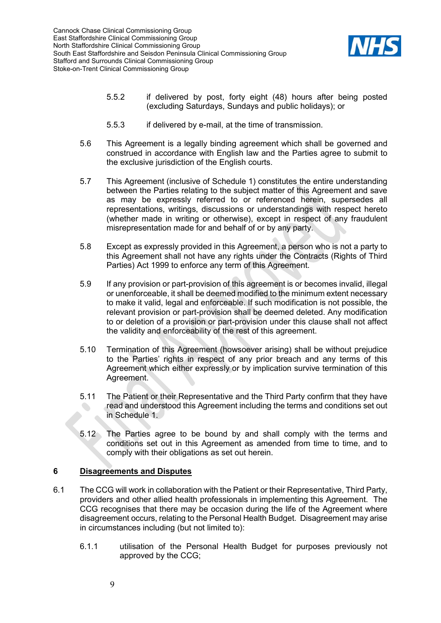

- 5.5.2 if delivered by post, forty eight (48) hours after being posted (excluding Saturdays, Sundays and public holidays); or
- 5.5.3 if delivered by e-mail, at the time of transmission.
- 5.6 This Agreement is a legally binding agreement which shall be governed and construed in accordance with English law and the Parties agree to submit to the exclusive jurisdiction of the English courts.
- 5.7 This Agreement (inclusive of Schedule 1) constitutes the entire understanding between the Parties relating to the subject matter of this Agreement and save as may be expressly referred to or referenced herein, supersedes all representations, writings, discussions or understandings with respect hereto (whether made in writing or otherwise), except in respect of any fraudulent misrepresentation made for and behalf of or by any party.
- 5.8 Except as expressly provided in this Agreement, a person who is not a party to this Agreement shall not have any rights under the Contracts (Rights of Third Parties) Act 1999 to enforce any term of this Agreement.
- <span id="page-8-0"></span>5.9 If any provision or part-provision of this agreement is or becomes invalid, illegal or unenforceable, it shall be deemed modified to the minimum extent necessary to make it valid, legal and enforceable. If such modification is not possible, the relevant provision or part-provision shall be deemed deleted. Any modification to or deletion of a provision or part-provision under this clause shall not affect the validity and enforceability of the rest of this agreement.
- 5.10 Termination of this Agreement (howsoever arising) shall be without prejudice to the Parties' rights in respect of any prior breach and any terms of this Agreement which either expressly or by implication survive termination of this Agreement.
- 5.11 The Patient or their Representative and the Third Party confirm that they have read and understood this Agreement including the terms and conditions set out in Schedule 1.
- 5.12 The Parties agree to be bound by and shall comply with the terms and conditions set out in this Agreement as amended from time to time, and to comply with their obligations as set out herein.

## **6 Disagreements and Disputes**

- 6.1 The CCG will work in collaboration with the Patient or their Representative, Third Party, providers and other allied health professionals in implementing this Agreement. The CCG recognises that there may be occasion during the life of the Agreement where disagreement occurs, relating to the Personal Health Budget. Disagreement may arise in circumstances including (but not limited to):
	- 6.1.1 utilisation of the Personal Health Budget for purposes previously not approved by the CCG;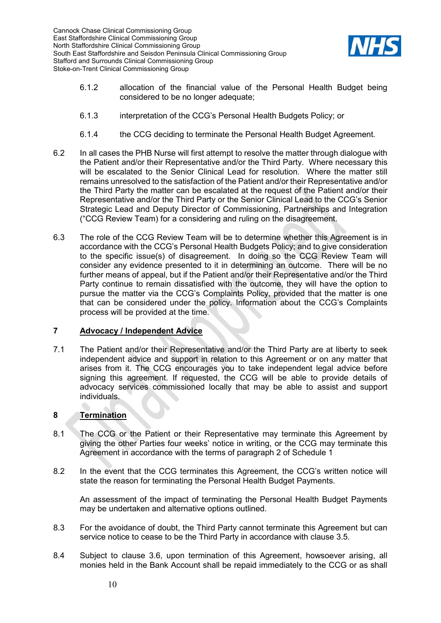

- 6.1.2 allocation of the financial value of the Personal Health Budget being considered to be no longer adequate;
- 6.1.3 interpretation of the CCG's Personal Health Budgets Policy; or
- 6.1.4 the CCG deciding to terminate the Personal Health Budget Agreement.
- 6.2 In all cases the PHB Nurse will first attempt to resolve the matter through dialogue with the Patient and/or their Representative and/or the Third Party. Where necessary this will be escalated to the Senior Clinical Lead for resolution. Where the matter still remains unresolved to the satisfaction of the Patient and/or their Representative and/or the Third Party the matter can be escalated at the request of the Patient and/or their Representative and/or the Third Party or the Senior Clinical Lead to the CCG's Senior Strategic Lead and Deputy Director of Commissioning, Partnerships and Integration ("CCG Review Team) for a considering and ruling on the disagreement.
- 6.3 The role of the CCG Review Team will be to determine whether this Agreement is in accordance with the CCG's Personal Health Budgets Policy; and to give consideration to the specific issue(s) of disagreement. In doing so the CCG Review Team will consider any evidence presented to it in determining an outcome. There will be no further means of appeal, but if the Patient and/or their Representative and/or the Third Party continue to remain dissatisfied with the outcome, they will have the option to pursue the matter via the CCG's Complaints Policy, provided that the matter is one that can be considered under the policy. Information about the CCG's Complaints process will be provided at the time.

#### **7 Advocacy / Independent Advice**

7.1 The Patient and/or their Representative and/or the Third Party are at liberty to seek independent advice and support in relation to this Agreement or on any matter that arises from it. The CCG encourages you to take independent legal advice before signing this agreement. If requested, the CCG will be able to provide details of advocacy services commissioned locally that may be able to assist and support individuals.

## **8 Termination**

- 8.1 The CCG or the Patient or their Representative may terminate this Agreement by giving the other Parties four weeks' notice in writing, or the CCG may terminate this Agreement in accordance with the terms of paragraph 2 of Schedule 1
- 8.2 In the event that the CCG terminates this Agreement, the CCG's written notice will state the reason for terminating the Personal Health Budget Payments.

An assessment of the impact of terminating the Personal Health Budget Payments may be undertaken and alternative options outlined.

- 8.3 For the avoidance of doubt, the Third Party cannot terminate this Agreement but can service notice to cease to be the Third Party in accordance with clause [3.5.](#page-6-2)
- 8.4 Subject to clause [3.6,](#page-6-3) upon termination of this Agreement, howsoever arising, all monies held in the Bank Account shall be repaid immediately to the CCG or as shall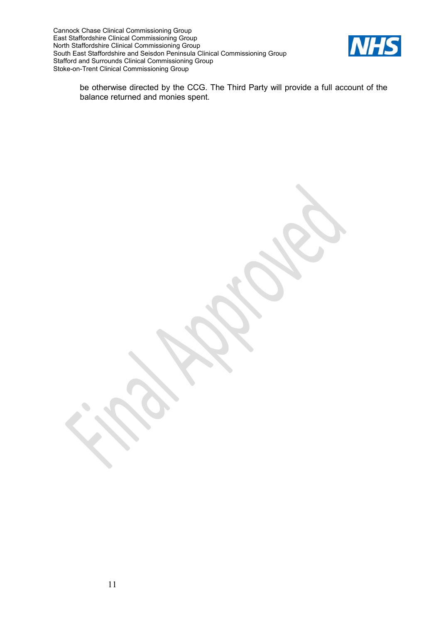

be otherwise directed by the CCG. The Third Party will provide a full account of the balance returned and monies spent.

 $\bullet$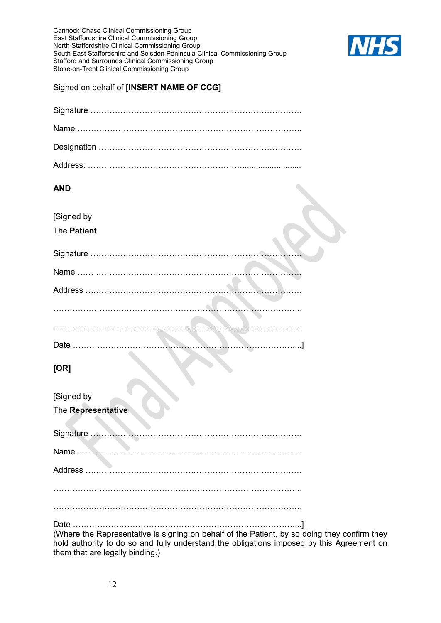

#### Signed on behalf of **[INSERT NAME OF CCG]**

## **AND**

| [Signed by |  |
|------------|--|
|------------|--|

## The **Patient**

| and the contract of the contract of |
|-------------------------------------|
|                                     |
|                                     |

## **[OR]**

| [Signed by                                                                                                                                                                                |
|-------------------------------------------------------------------------------------------------------------------------------------------------------------------------------------------|
| The Representative                                                                                                                                                                        |
|                                                                                                                                                                                           |
|                                                                                                                                                                                           |
|                                                                                                                                                                                           |
|                                                                                                                                                                                           |
|                                                                                                                                                                                           |
| (Where the Representative is signing on behalf of the Patient, by so doing they confirm they<br>hold authority to do so and fully understand the obligations imposed by this Agreement on |

them that are legally binding.)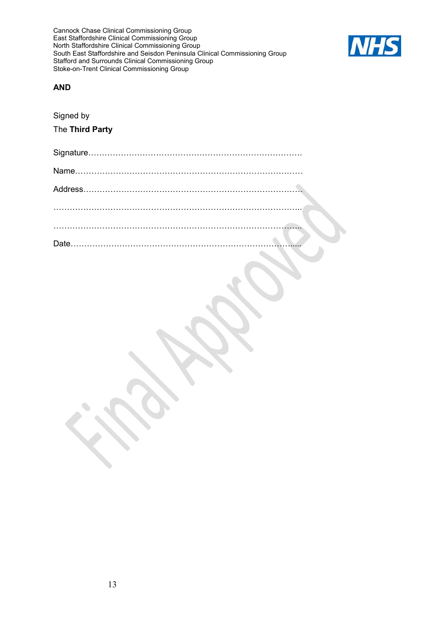

#### **AND**

Signed by The **Third Party**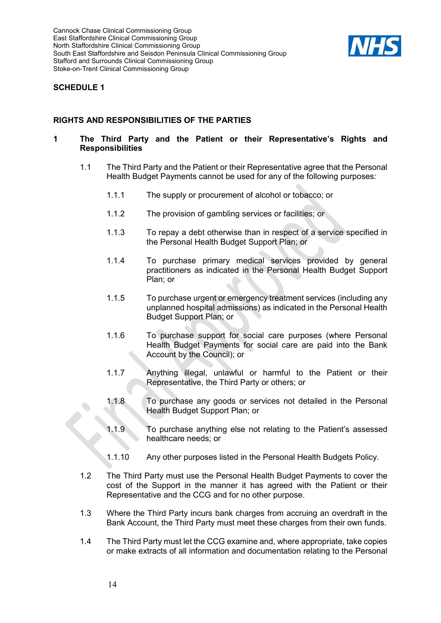

## **SCHEDULE 1**

## **RIGHTS AND RESPONSIBILITIES OF THE PARTIES**

#### **1 The Third Party and the Patient or their Representative's Rights and Responsibilities**

- 1.1 The Third Party and the Patient or their Representative agree that the Personal Health Budget Payments cannot be used for any of the following purposes:
	- 1.1.1 The supply or procurement of alcohol or tobacco; or
	- 1.1.2 The provision of gambling services or facilities; or
	- 1.1.3 To repay a debt otherwise than in respect of a service specified in the Personal Health Budget Support Plan; or
	- 1.1.4 To purchase primary medical services provided by general practitioners as indicated in the Personal Health Budget Support Plan; or
	- 1.1.5 To purchase urgent or emergency treatment services (including any unplanned hospital admissions) as indicated in the Personal Health Budget Support Plan; or
	- 1.1.6 To purchase support for social care purposes (where Personal Health Budget Payments for social care are paid into the Bank Account by the Council); or
	- 1.1.7 Anything illegal, unlawful or harmful to the Patient or their Representative, the Third Party or others; or
	- 1.1.8 To purchase any goods or services not detailed in the Personal Health Budget Support Plan; or
	- 1.1.9 To purchase anything else not relating to the Patient's assessed healthcare needs; or
	- 1.1.10 Any other purposes listed in the Personal Health Budgets Policy.
- 1.2 The Third Party must use the Personal Health Budget Payments to cover the cost of the Support in the manner it has agreed with the Patient or their Representative and the CCG and for no other purpose.
- 1.3 Where the Third Party incurs bank charges from accruing an overdraft in the Bank Account, the Third Party must meet these charges from their own funds.
- 1.4 The Third Party must let the CCG examine and, where appropriate, take copies or make extracts of all information and documentation relating to the Personal

 $\bullet$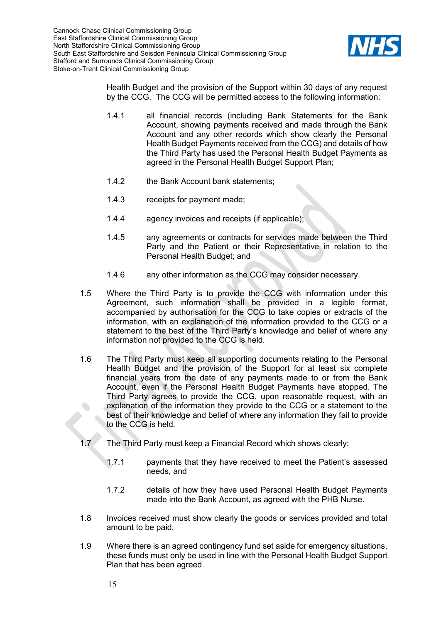

Health Budget and the provision of the Support within 30 days of any request by the CCG. The CCG will be permitted access to the following information:

- 1.4.1 all financial records (including Bank Statements for the Bank Account, showing payments received and made through the Bank Account and any other records which show clearly the Personal Health Budget Payments received from the CCG) and details of how the Third Party has used the Personal Health Budget Payments as agreed in the Personal Health Budget Support Plan;
- 1.4.2 the Bank Account bank statements;
- 1.4.3 receipts for payment made;
- 1.4.4 agency invoices and receipts (if applicable);
- 1.4.5 any agreements or contracts for services made between the Third Party and the Patient or their Representative in relation to the Personal Health Budget; and
- 1.4.6 any other information as the CCG may consider necessary.
- 1.5 Where the Third Party is to provide the CCG with information under this Agreement, such information shall be provided in a legible format, accompanied by authorisation for the CCG to take copies or extracts of the information, with an explanation of the information provided to the CCG or a statement to the best of the Third Party's knowledge and belief of where any information not provided to the CCG is held.
- 1.6 The Third Party must keep all supporting documents relating to the Personal Health Budget and the provision of the Support for at least six complete financial years from the date of any payments made to or from the Bank Account, even if the Personal Health Budget Payments have stopped. The Third Party agrees to provide the CCG, upon reasonable request, with an explanation of the information they provide to the CCG or a statement to the best of their knowledge and belief of where any information they fail to provide to the CCG is held.
- 1.7 The Third Party must keep a Financial Record which shows clearly:
	- 1.7.1 payments that they have received to meet the Patient's assessed needs, and
	- 1.7.2 details of how they have used Personal Health Budget Payments made into the Bank Account, as agreed with the PHB Nurse.
- 1.8 Invoices received must show clearly the goods or services provided and total amount to be paid.
- 1.9 Where there is an agreed contingency fund set aside for emergency situations, these funds must only be used in line with the Personal Health Budget Support Plan that has been agreed.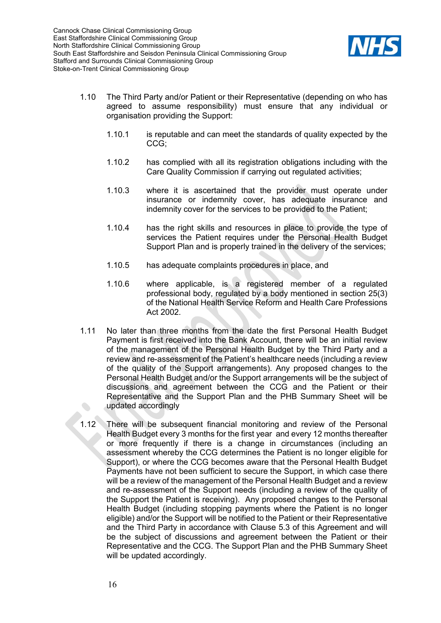

- 1.10 The Third Party and/or Patient or their Representative (depending on who has agreed to assume responsibility) must ensure that any individual or organisation providing the Support:
	- 1.10.1 is reputable and can meet the standards of quality expected by the CCG;
	- 1.10.2 has complied with all its registration obligations including with the Care Quality Commission if carrying out regulated activities;
	- 1.10.3 where it is ascertained that the provider must operate under insurance or indemnity cover, has adequate insurance and indemnity cover for the services to be provided to the Patient;
	- 1.10.4 has the right skills and resources in place to provide the type of services the Patient requires under the Personal Health Budget Support Plan and is properly trained in the delivery of the services;
	- 1.10.5 has adequate complaints procedures in place, and
	- 1.10.6 where applicable, is a registered member of a regulated professional body, regulated by a body mentioned in section 25(3) of the National Health Service Reform and Health Care Professions Act 2002.
- 1.11 No later than three months from the date the first Personal Health Budget Payment is first received into the Bank Account, there will be an initial review of the management of the Personal Health Budget by the Third Party and a review and re-assessment of the Patient's healthcare needs (including a review of the quality of the Support arrangements). Any proposed changes to the Personal Health Budget and/or the Support arrangements will be the subject of discussions and agreement between the CCG and the Patient or their Representative and the Support Plan and the PHB Summary Sheet will be updated accordingly
- 1.12 There will be subsequent financial monitoring and review of the Personal Health Budget every 3 months for the first year and every 12 months thereafter or more frequently if there is a change in circumstances (including an assessment whereby the CCG determines the Patient is no longer eligible for Support), or where the CCG becomes aware that the Personal Health Budget Payments have not been sufficient to secure the Support, in which case there will be a review of the management of the Personal Health Budget and a review and re-assessment of the Support needs (including a review of the quality of the Support the Patient is receiving). Any proposed changes to the Personal Health Budget (including stopping payments where the Patient is no longer eligible) and/or the Support will be notified to the Patient or their Representative and the Third Party in accordance with Clause [5.3](#page-7-3) of this Agreement and will be the subject of discussions and agreement between the Patient or their Representative and the CCG. The Support Plan and the PHB Summary Sheet will be updated accordingly.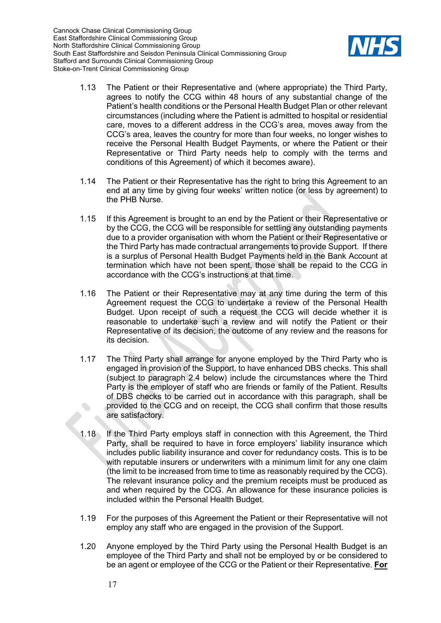

- 1.13 The Patient or their Representative and (where appropriate) the Third Party, agrees to notify the CCG within 48 hours of any substantial change of the Patient's health conditions or the Personal Health Budget Plan or other relevant circumstances (including where the Patient is admitted to hospital or residential care, moves to a different address in the CCG's area, moves away from the CCG's area, leaves the country for more than four weeks, no longer wishes to receive the Personal Health Budget Payments, or where the Patient or their Representative or Third Party needs help to comply with the terms and conditions of this Agreement) of which it becomes aware).
- 1.14 The Patient or their Representative has the right to bring this Agreement to an end at any time by giving four weeks' written notice (or less by agreement) to the PHB Nurse.
- 1.15 If this Agreement is brought to an end by the Patient or their Representative or by the CCG, the CCG will be responsible for settling any outstanding payments due to a provider organisation with whom the Patient or their Representative or the Third Party has made contractual arrangements to provide Support. If there is a surplus of Personal Health Budget Payments held in the Bank Account at termination which have not been spent, those shall be repaid to the CCG in accordance with the CCG's instructions at that time.
- 1.16 The Patient or their Representative may at any time during the term of this Agreement request the CCG to undertake a review of the Personal Health Budget. Upon receipt of such a request the CCG will decide whether it is reasonable to undertake such a review and will notify the Patient or their Representative of its decision, the outcome of any review and the reasons for its decision.
- 1.17 The Third Party shall arrange for anyone employed by the Third Party who is engaged in provision of the Support, to have enhanced DBS checks. This shall (subject to paragraph 2.4 below) include the circumstances where the Third Party is the employer of staff who are friends or family of the Patient. Results of DBS checks to be carried out in accordance with this paragraph, shall be provided to the CCG and on receipt, the CCG shall confirm that those results are satisfactory.
- 1.18 If the Third Party employs staff in connection with this Agreement, the Third Party, shall be required to have in force employers' liability insurance which includes public liability insurance and cover for redundancy costs. This is to be with reputable insurers or underwriters with a minimum limit for any one claim (the limit to be increased from time to time as reasonably required by the CCG). The relevant insurance policy and the premium receipts must be produced as and when required by the CCG. An allowance for these insurance policies is included within the Personal Health Budget.
- 1.19 For the purposes of this Agreement the Patient or their Representative will not employ any staff who are engaged in the provision of the Support.
- 1.20 Anyone employed by the Third Party using the Personal Health Budget is an employee of the Third Party and shall not be employed by or be considered to be an agent or employee of the CCG or the Patient or their Representative. **For**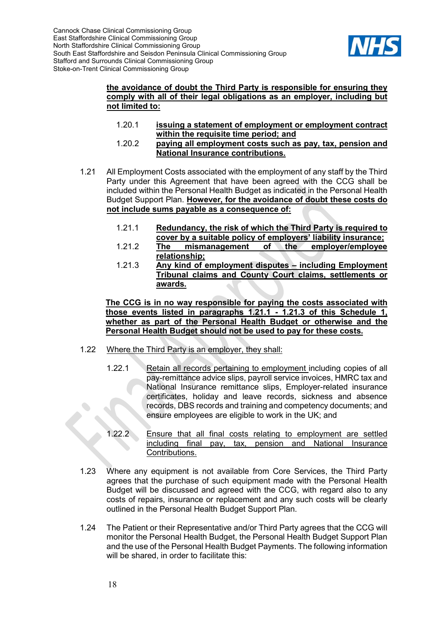

#### **the avoidance of doubt the Third Party is responsible for ensuring they comply with all of their legal obligations as an employer, including but not limited to:**

- 1.20.1 **issuing a statement of employment or employment contract within the requisite time period; and**
- 1.20.2 **paying all employment costs such as pay, tax, pension and National Insurance contributions.**
- <span id="page-17-0"></span>1.21 All Employment Costs associated with the employment of any staff by the Third Party under this Agreement that have been agreed with the CCG shall be included within the Personal Health Budget as indicated in the Personal Health Budget Support Plan. **However, for the avoidance of doubt these costs do not include sums payable as a consequence of:**
	- 1.21.1 **Redundancy, the risk of which the Third Party is required to cover by a suitable policy of employers' liability insurance;**
	- 1.21.2 **The mismanagement of the employer/employee relationship;**
	- 1.21.3 **Any kind of employment disputes – including Employment Tribunal claims and County Court claims, settlements or awards.**

<span id="page-17-1"></span>**The CCG is in no way responsible for paying the costs associated with those events listed in paragraphs [1.21.1](#page-17-0) - [1.21.3](#page-17-1) of this Schedule 1, whether as part of the Personal Health Budget or otherwise and the Personal Health Budget should not be used to pay for these costs.**

- 1.22 Where the Third Party is an employer, they shall:
	- 1.22.1 Retain all records pertaining to employment including copies of all pay-remittance advice slips, payroll service invoices, HMRC tax and National Insurance remittance slips, Employer-related insurance certificates, holiday and leave records, sickness and absence records, DBS records and training and competency documents; and ensure employees are eligible to work in the UK; and
	- 1.22.2 Ensure that all final costs relating to employment are settled<br>including final pay, tax, pension and National Insurance tax, pension and National Insurance Contributions.
- 1.23 Where any equipment is not available from Core Services, the Third Party agrees that the purchase of such equipment made with the Personal Health Budget will be discussed and agreed with the CCG, with regard also to any costs of repairs, insurance or replacement and any such costs will be clearly outlined in the Personal Health Budget Support Plan.
- 1.24 The Patient or their Representative and/or Third Party agrees that the CCG will monitor the Personal Health Budget, the Personal Health Budget Support Plan and the use of the Personal Health Budget Payments. The following information will be shared, in order to facilitate this: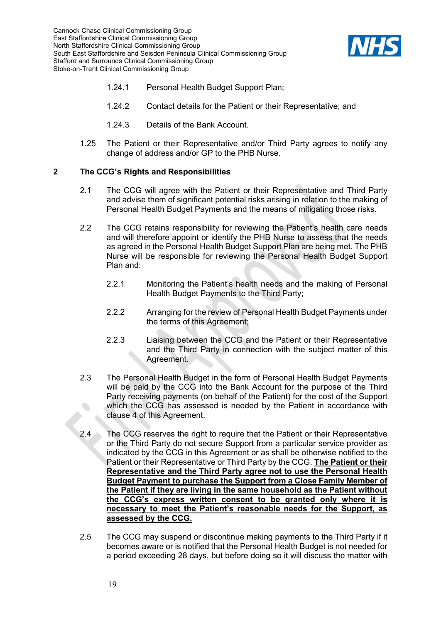

- 1.24.1 Personal Health Budget Support Plan;
- 1.24.2 Contact details for the Patient or their Representative; and
- 1.24.3 Details of the Bank Account.
- 1.25 The Patient or their Representative and/or Third Party agrees to notify any change of address and/or GP to the PHB Nurse.

#### **2 The CCG's Rights and Responsibilities**

- 2.1 The CCG will agree with the Patient or their Representative and Third Party and advise them of significant potential risks arising in relation to the making of Personal Health Budget Payments and the means of mitigating those risks.
- 2.2 The CCG retains responsibility for reviewing the Patient's health care needs and will therefore appoint or identify the PHB Nurse to assess that the needs as agreed in the Personal Health Budget Support Plan are being met. The PHB Nurse will be responsible for reviewing the Personal Health Budget Support Plan and:
	- 2.2.1 Monitoring the Patient's health needs and the making of Personal Health Budget Payments to the Third Party;
	- 2.2.2 Arranging for the review of Personal Health Budget Payments under the terms of this Agreement;
	- 2.2.3 Liaising between the CCG and the Patient or their Representative and the Third Party in connection with the subject matter of this Agreement.
- 2.3 The Personal Health Budget in the form of Personal Health Budget Payments will be paid by the CCG into the Bank Account for the purpose of the Third Party receiving payments (on behalf of the Patient) for the cost of the Support which the CCG has assessed is needed by the Patient in accordance with clause [4](#page-6-0) of this Agreement.
- 2.4 The CCG reserves the right to require that the Patient or their Representative or the Third Party do not secure Support from a particular service provider as indicated by the CCG in this Agreement or as shall be otherwise notified to the Patient or their Representative or Third Party by the CCG. **The Patient or their Representative and the Third Party agree not to use the Personal Health Budget Payment to purchase the Support from a Close Family Member of the Patient if they are living in the same household as the Patient without the CCG's express written consent to be granted only where it is necessary to meet the Patient's reasonable needs for the Support, as assessed by the CCG.**
- 2.5 The CCG may suspend or discontinue making payments to the Third Party if it becomes aware or is notified that the Personal Health Budget is not needed for a period exceeding 28 days, but before doing so it will discuss the matter with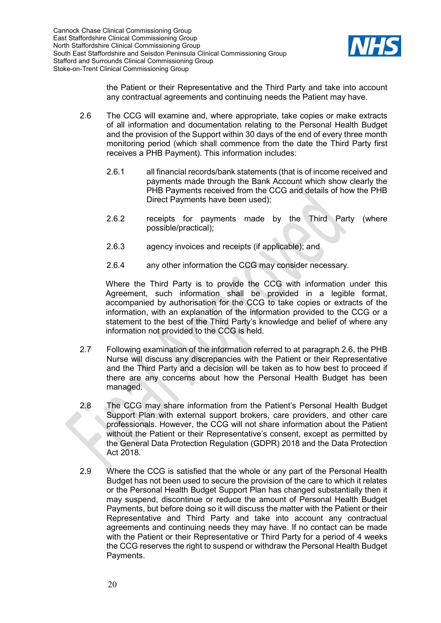

the Patient or their Representative and the Third Party and take into account any contractual agreements and continuing needs the Patient may have.

- <span id="page-19-0"></span>2.6 The CCG will examine and, where appropriate, take copies or make extracts of all information and documentation relating to the Personal Health Budget and the provision of the Support within 30 days of the end of every three month monitoring period (which shall commence from the date the Third Party first receives a PHB Payment). This information includes:
	- 2.6.1 all financial records/bank statements (that is of income received and payments made through the Bank Account which show clearly the PHB Payments received from the CCG and details of how the PHB Direct Payments have been used);
	- 2.6.2 receipts for payments made by the Third Party (where possible/practical);
	- 2.6.3 agency invoices and receipts (if applicable); and
	- 2.6.4 any other information the CCG may consider necessary.

Where the Third Party is to provide the CCG with information under this Agreement, such information shall be provided in a legible format, accompanied by authorisation for the CCG to take copies or extracts of the information, with an explanation of the information provided to the CCG or a statement to the best of the Third Party's knowledge and belief of where any information not provided to the CCG is held.

- 2.7 Following examination of the information referred to at paragraph [2.6,](#page-19-0) the PHB Nurse will discuss any discrepancies with the Patient or their Representative and the Third Party and a decision will be taken as to how best to proceed if there are any concerns about how the Personal Health Budget has been managed.
- 2.8 The CCG may share information from the Patient's Personal Health Budget Support Plan with external support brokers, care providers, and other care professionals. However, the CCG will not share information about the Patient without the Patient or their Representative's consent, except as permitted by the General Data Protection Regulation (GDPR) 2018 and the Data Protection Act 2018.
- 2.9 Where the CCG is satisfied that the whole or any part of the Personal Health Budget has not been used to secure the provision of the care to which it relates or the Personal Health Budget Support Plan has changed substantially then it may suspend, discontinue or reduce the amount of Personal Health Budget Payments, but before doing so it will discuss the matter with the Patient or their Representative and Third Party and take into account any contractual agreements and continuing needs they may have. If no contact can be made with the Patient or their Representative or Third Party for a period of 4 weeks the CCG reserves the right to suspend or withdraw the Personal Health Budget Payments.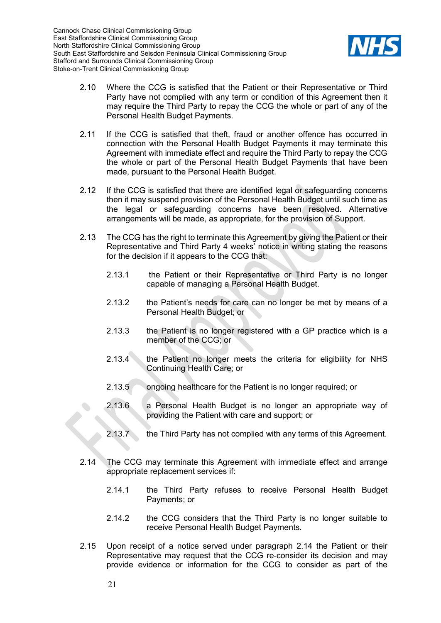

- 2.10 Where the CCG is satisfied that the Patient or their Representative or Third Party have not complied with any term or condition of this Agreement then it may require the Third Party to repay the CCG the whole or part of any of the Personal Health Budget Payments.
- 2.11 If the CCG is satisfied that theft, fraud or another offence has occurred in connection with the Personal Health Budget Payments it may terminate this Agreement with immediate effect and require the Third Party to repay the CCG the whole or part of the Personal Health Budget Payments that have been made, pursuant to the Personal Health Budget.
- 2.12 If the CCG is satisfied that there are identified legal or safeguarding concerns then it may suspend provision of the Personal Health Budget until such time as the legal or safeguarding concerns have been resolved. Alternative arrangements will be made, as appropriate, for the provision of Support.
- 2.13 The CCG has the right to terminate this Agreement by giving the Patient or their Representative and Third Party 4 weeks' notice in writing stating the reasons for the decision if it appears to the CCG that:
	- 2.13.1 the Patient or their Representative or Third Party is no longer capable of managing a Personal Health Budget.
	- 2.13.2 the Patient's needs for care can no longer be met by means of a Personal Health Budget; or
	- 2.13.3 the Patient is no longer registered with a GP practice which is a member of the CCG; or
	- 2.13.4 the Patient no longer meets the criteria for eligibility for NHS Continuing Health Care; or
	- 2.13.5 ongoing healthcare for the Patient is no longer required; or
	- 2.13.6 a Personal Health Budget is no longer an appropriate way of providing the Patient with care and support; or
	- 2.13.7 the Third Party has not complied with any terms of this Agreement.
- <span id="page-20-0"></span>2.14 The CCG may terminate this Agreement with immediate effect and arrange appropriate replacement services if:
	- 2.14.1 the Third Party refuses to receive Personal Health Budget Payments; or
	- 2.14.2 the CCG considers that the Third Party is no longer suitable to receive Personal Health Budget Payments.
- 2.15 Upon receipt of a notice served under paragraph [2.14](#page-20-0) the Patient or their Representative may request that the CCG re-consider its decision and may provide evidence or information for the CCG to consider as part of the